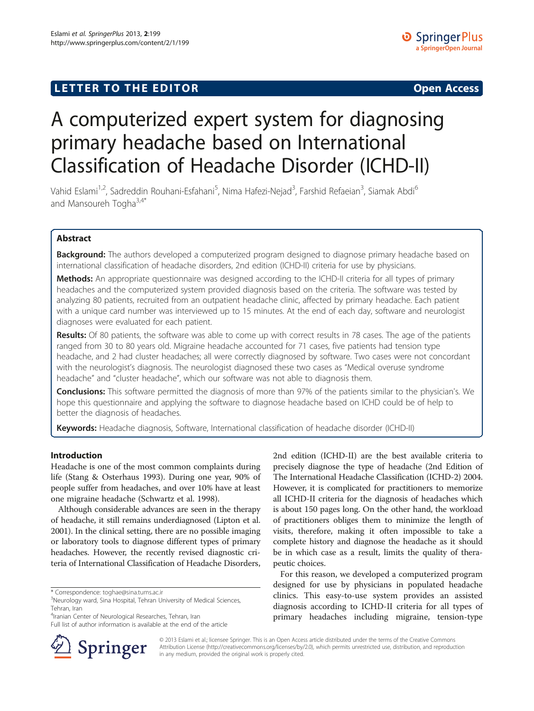## **LETTER TO THE EDITOR CONSIDERING ACCESS**

# A computerized expert system for diagnosing primary headache based on International Classification of Headache Disorder (ICHD-II)

Vahid Eslami<sup>1,2</sup>, Sadreddin Rouhani-Esfahani<sup>5</sup>, Nima Hafezi-Nejad<sup>3</sup>, Farshid Refaeian<sup>3</sup>, Siamak Abdi<sup>6</sup> and Mansoureh Togha<sup>3,4\*</sup>

## Abstract

Background: The authors developed a computerized program designed to diagnose primary headache based on international classification of headache disorders, 2nd edition (ICHD-II) criteria for use by physicians.

**Methods:** An appropriate questionnaire was designed according to the ICHD-II criteria for all types of primary headaches and the computerized system provided diagnosis based on the criteria. The software was tested by analyzing 80 patients, recruited from an outpatient headache clinic, affected by primary headache. Each patient with a unique card number was interviewed up to 15 minutes. At the end of each day, software and neurologist diagnoses were evaluated for each patient.

Results: Of 80 patients, the software was able to come up with correct results in 78 cases. The age of the patients ranged from 30 to 80 years old. Migraine headache accounted for 71 cases, five patients had tension type headache, and 2 had cluster headaches; all were correctly diagnosed by software. Two cases were not concordant with the neurologist's diagnosis. The neurologist diagnosed these two cases as "Medical overuse syndrome headache" and "cluster headache", which our software was not able to diagnosis them.

Conclusions: This software permitted the diagnosis of more than 97% of the patients similar to the physician's. We hope this questionnaire and applying the software to diagnose headache based on ICHD could be of help to better the diagnosis of headaches.

Keywords: Headache diagnosis, Software, International classification of headache disorder (ICHD-II)

#### Introduction

Headache is one of the most common complaints during life (Stang & Osterhaus [1993\)](#page-3-0). During one year, 90% of people suffer from headaches, and over 10% have at least one migraine headache (Schwartz et al. [1998\)](#page-3-0).

Although considerable advances are seen in the therapy of headache, it still remains underdiagnosed (Lipton et al. [2001\)](#page-2-0). In the clinical setting, there are no possible imaging or laboratory tools to diagnose different types of primary headaches. However, the recently revised diagnostic criteria of International Classification of Headache Disorders,

Full list of author information is available at the end of the article



2nd edition (ICHD-II) are the best available criteria to precisely diagnose the type of headache (2nd Edition of The International Headache Classification (ICHD-2) [2004](#page-2-0). However, it is complicated for practitioners to memorize all ICHD-II criteria for the diagnosis of headaches which is about 150 pages long. On the other hand, the workload of practitioners obliges them to minimize the length of visits, therefore, making it often impossible to take a complete history and diagnose the headache as it should be in which case as a result, limits the quality of therapeutic choices.

For this reason, we developed a computerized program designed for use by physicians in populated headache clinics. This easy-to-use system provides an assisted diagnosis according to ICHD-II criteria for all types of primary headaches including migraine, tension-type

© 2013 Eslami et al.; licensee Springer. This is an Open Access article distributed under the terms of the Creative Commons Attribution License [\(http://creativecommons.org/licenses/by/2.0\)](http://creativecommons.org/licenses/by/2.0), which permits unrestricted use, distribution, and reproduction in any medium, provided the original work is properly cited.

<sup>\*</sup> Correspondence: [toghae@sina.tums.ac.ir](mailto:toghae@sina.tums.ac.ir) <sup>3</sup>

<sup>&</sup>lt;sup>3</sup>Neurology ward, Sina Hospital, Tehran University of Medical Sciences, Tehran, Iran

<sup>4</sup> Iranian Center of Neurological Researches, Tehran, Iran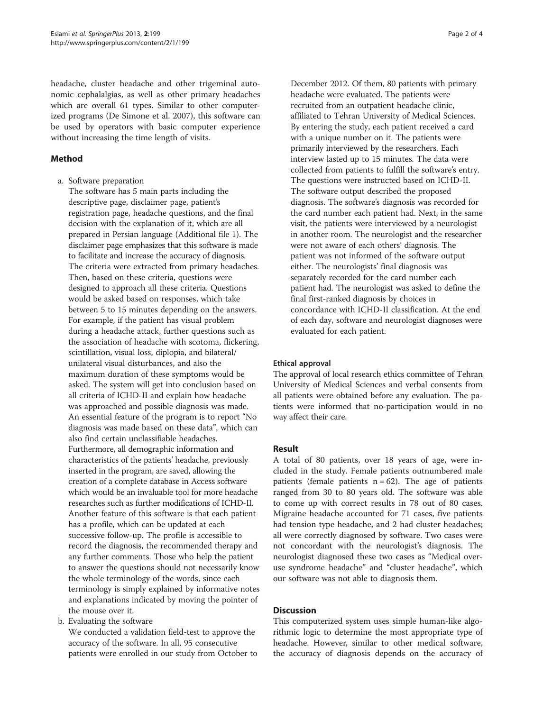headache, cluster headache and other trigeminal autonomic cephalalgias, as well as other primary headaches which are overall 61 types. Similar to other computerized programs (De Simone et al. [2007](#page-2-0)), this software can be used by operators with basic computer experience without increasing the time length of visits.

## Method

a. Software preparation

The software has 5 main parts including the descriptive page, disclaimer page, patient's registration page, headache questions, and the final decision with the explanation of it, which are all prepared in Persian language (Additional file [1\)](#page-2-0). The disclaimer page emphasizes that this software is made to facilitate and increase the accuracy of diagnosis. The criteria were extracted from primary headaches. Then, based on these criteria, questions were designed to approach all these criteria. Questions would be asked based on responses, which take between 5 to 15 minutes depending on the answers. For example, if the patient has visual problem during a headache attack, further questions such as the association of headache with scotoma, flickering, scintillation, visual loss, diplopia, and bilateral/ unilateral visual disturbances, and also the maximum duration of these symptoms would be asked. The system will get into conclusion based on all criteria of ICHD-II and explain how headache was approached and possible diagnosis was made. An essential feature of the program is to report "No diagnosis was made based on these data", which can also find certain unclassifiable headaches. Furthermore, all demographic information and characteristics of the patients' headache, previously inserted in the program, are saved, allowing the creation of a complete database in Access software which would be an invaluable tool for more headache researches such as further modifications of ICHD-II. Another feature of this software is that each patient has a profile, which can be updated at each successive follow-up. The profile is accessible to record the diagnosis, the recommended therapy and any further comments. Those who help the patient to answer the questions should not necessarily know the whole terminology of the words, since each terminology is simply explained by informative notes and explanations indicated by moving the pointer of the mouse over it.

b. Evaluating the software

We conducted a validation field-test to approve the accuracy of the software. In all, 95 consecutive patients were enrolled in our study from October to December 2012. Of them, 80 patients with primary headache were evaluated. The patients were recruited from an outpatient headache clinic, affiliated to Tehran University of Medical Sciences. By entering the study, each patient received a card with a unique number on it. The patients were primarily interviewed by the researchers. Each interview lasted up to 15 minutes. The data were collected from patients to fulfill the software's entry. The questions were instructed based on ICHD-II. The software output described the proposed diagnosis. The software's diagnosis was recorded for the card number each patient had. Next, in the same visit, the patients were interviewed by a neurologist in another room. The neurologist and the researcher were not aware of each others' diagnosis. The patient was not informed of the software output either. The neurologists' final diagnosis was separately recorded for the card number each patient had. The neurologist was asked to define the final first-ranked diagnosis by choices in concordance with ICHD-II classification. At the end of each day, software and neurologist diagnoses were evaluated for each patient.

## Ethical approval

The approval of local research ethics committee of Tehran University of Medical Sciences and verbal consents from all patients were obtained before any evaluation. The patients were informed that no-participation would in no way affect their care.

## Result

A total of 80 patients, over 18 years of age, were included in the study. Female patients outnumbered male patients (female patients  $n = 62$ ). The age of patients ranged from 30 to 80 years old. The software was able to come up with correct results in 78 out of 80 cases. Migraine headache accounted for 71 cases, five patients had tension type headache, and 2 had cluster headaches; all were correctly diagnosed by software. Two cases were not concordant with the neurologist's diagnosis. The neurologist diagnosed these two cases as "Medical overuse syndrome headache" and "cluster headache", which our software was not able to diagnosis them.

## **Discussion**

This computerized system uses simple human-like algorithmic logic to determine the most appropriate type of headache. However, similar to other medical software, the accuracy of diagnosis depends on the accuracy of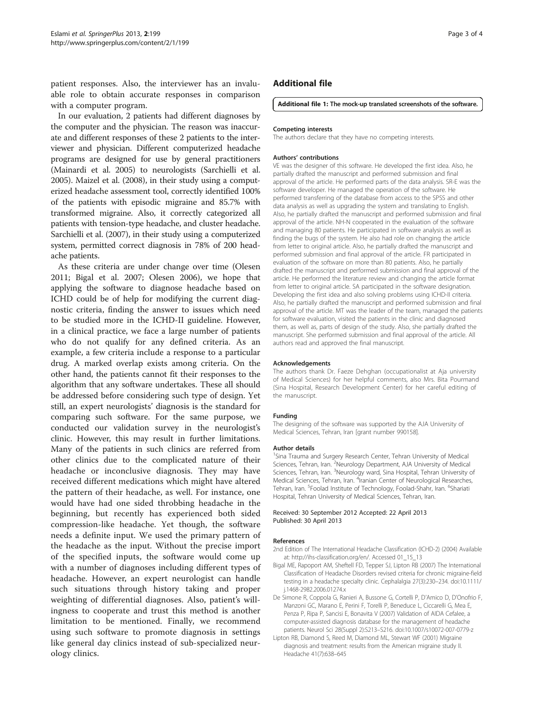<span id="page-2-0"></span>patient responses. Also, the interviewer has an invaluable role to obtain accurate responses in comparison with a computer program.

In our evaluation, 2 patients had different diagnoses by the computer and the physician. The reason was inaccurate and different responses of these 2 patients to the interviewer and physician. Different computerized headache programs are designed for use by general practitioners (Mainardi et al. [2005\)](#page-3-0) to neurologists (Sarchielli et al. [2005\)](#page-3-0). Maizel et al. ([2008\)](#page-3-0), in their study using a computerized headache assessment tool, correctly identified 100% of the patients with episodic migraine and 85.7% with transformed migraine. Also, it correctly categorized all patients with tension-type headache, and cluster headache. Sarchielli et al. ([2007](#page-3-0)), in their study using a computerized system, permitted correct diagnosis in 78% of 200 headache patients.

As these criteria are under change over time (Olesen [2011](#page-3-0); Bigal et al. 2007; Olesen [2006](#page-3-0)), we hope that applying the software to diagnose headache based on ICHD could be of help for modifying the current diagnostic criteria, finding the answer to issues which need to be studied more in the ICHD-II guideline. However, in a clinical practice, we face a large number of patients who do not qualify for any defined criteria. As an example, a few criteria include a response to a particular drug. A marked overlap exists among criteria. On the other hand, the patients cannot fit their responses to the algorithm that any software undertakes. These all should be addressed before considering such type of design. Yet still, an expert neurologists' diagnosis is the standard for comparing such software. For the same purpose, we conducted our validation survey in the neurologist's clinic. However, this may result in further limitations. Many of the patients in such clinics are referred from other clinics due to the complicated nature of their headache or inconclusive diagnosis. They may have received different medications which might have altered the pattern of their headache, as well. For instance, one would have had one sided throbbing headache in the beginning, but recently has experienced both sided compression-like headache. Yet though, the software needs a definite input. We used the primary pattern of the headache as the input. Without the precise import of the specified inputs, the software would come up with a number of diagnoses including different types of headache. However, an expert neurologist can handle such situations through history taking and proper weighting of differential diagnoses. Also, patient's willingness to cooperate and trust this method is another limitation to be mentioned. Finally, we recommend using such software to promote diagnosis in settings like general day clinics instead of sub-specialized neurology clinics.

## Additional file

#### [Additional file 1:](http://www.biomedcentral.com/content/supplementary/2193-1801-2-199-S1.doc) The mock-up translated screenshots of the software.

#### Competing interests

The authors declare that they have no competing interests.

#### Authors' contributions

VE was the designer of this software. He developed the first idea. Also, he partially drafted the manuscript and performed submission and final approval of the article. He performed parts of the data analysis. SR-E was the software developer. He managed the operation of the software. He performed transferring of the database from access to the SPSS and other data analysis as well as upgrading the system and translating to English. Also, he partially drafted the manuscript and performed submission and final approval of the article. NH-N cooperated in the evaluation of the software and managing 80 patients. He participated in software analysis as well as finding the bugs of the system. He also had role on changing the article from letter to original article. Also, he partially drafted the manuscript and performed submission and final approval of the article. FR participated in evaluation of the software on more than 80 patients. Also, he partially drafted the manuscript and performed submission and final approval of the article. He performed the literature review and changing the article format from letter to original article. SA participated in the software designation. Developing the first idea and also solving problems using ICHD-II criteria. Also, he partially drafted the manuscript and performed submission and final approval of the article. MT was the leader of the team, managed the patients for software evaluation, visited the patients in the clinic and diagnosed them, as well as, parts of design of the study. Also, she partially drafted the manuscript. She performed submission and final approval of the article. All authors read and approved the final manuscript.

#### Acknowledgements

The authors thank Dr. Faeze Dehghan (occupationalist at Aja university of Medical Sciences) for her helpful comments, also Mrs. Bita Pourmand (Sina Hospital, Research Development Center) for her careful editing of the manuscript.

#### Funding

The designing of the software was supported by the AJA University of Medical Sciences, Tehran, Iran [grant number 990158].

#### Author details

<sup>1</sup>Sina Trauma and Surgery Research Center, Tehran University of Medical Sciences, Tehran, Iran.<sup>2</sup>Neurology Department, AJA University of Medical Sciences, Tehran, Iran. <sup>3</sup>Neurology ward, Sina Hospital, Tehran University of Medical Sciences, Tehran, Iran. <sup>4</sup>Iranian Center of Neurological Researches Tehran, Iran. <sup>5</sup>Foolad Institute of Technology, Foolad-Shahr, Iran. <sup>6</sup>Shariati Hospital, Tehran University of Medical Sciences, Tehran, Iran.

#### Received: 30 September 2012 Accepted: 22 April 2013 Published: 30 April 2013

#### References

- 2nd Edition of The International Headache Classification (ICHD-2) (2004) Available at: [http://ihs-classification.org/en/.](http://ihs-classification.org/en/) Accessed 01\_15\_13
- Bigal ME, Rapoport AM, Sheftell FD, Tepper SJ, Lipton RB (2007) The International Classification of Headache Disorders revised criteria for chronic migraine-field testing in a headache specialty clinic. Cephalalgia 27(3):230–234. doi[:10.1111/](http://dx.doi.org/10.1111/j.1468-2982.2006.01274.x) [j.1468-2982.2006.01274.x](http://dx.doi.org/10.1111/j.1468-2982.2006.01274.x)
- De Simone R, Coppola G, Ranieri A, Bussone G, Cortelli P, D'Amico D, D'Onofrio F, Manzoni GC, Marano E, Perini F, Torelli P, Beneduce L, Ciccarelli G, Mea E, Penza P, Ripa P, Sancisi E, Bonavita V (2007) Validation of AIDA Cefalee, a computer-assisted diagnosis database for the management of headache patients. Neurol Sci 28(Suppl 2):S213–S216. doi[:10.1007/s10072-007-0779-z](http://dx.doi.org/10.1007/s10072-007-0779-z)
- Lipton RB, Diamond S, Reed M, Diamond ML, Stewart WF (2001) Migraine diagnosis and treatment: results from the American migraine study II. Headache 41(7):638–645